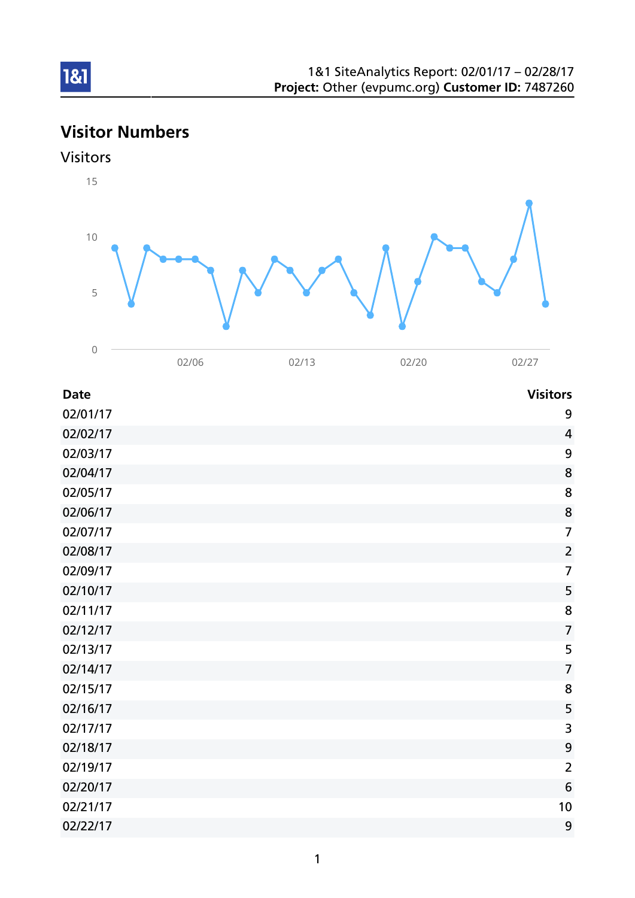# Visitor Numbers



| <b>Date</b> | <b>Visitors</b> |
|-------------|-----------------|
| 02/01/17    | 9               |
| 02/02/17    | $\overline{4}$  |
| 02/03/17    | 9               |
| 02/04/17    | 8               |
| 02/05/17    | 8               |
| 02/06/17    | 8               |
| 02/07/17    | $\overline{7}$  |
| 02/08/17    | $\overline{2}$  |
| 02/09/17    | $\overline{7}$  |
| 02/10/17    | 5               |
| 02/11/17    | 8               |
| 02/12/17    | $\overline{7}$  |
| 02/13/17    | 5               |
| 02/14/17    | $\overline{7}$  |
| 02/15/17    | 8               |
| 02/16/17    | 5               |
| 02/17/17    | 3               |
| 02/18/17    | 9               |
| 02/19/17    | $\overline{2}$  |
| 02/20/17    | 6               |
| 02/21/17    | 10              |
| 02/22/17    | 9               |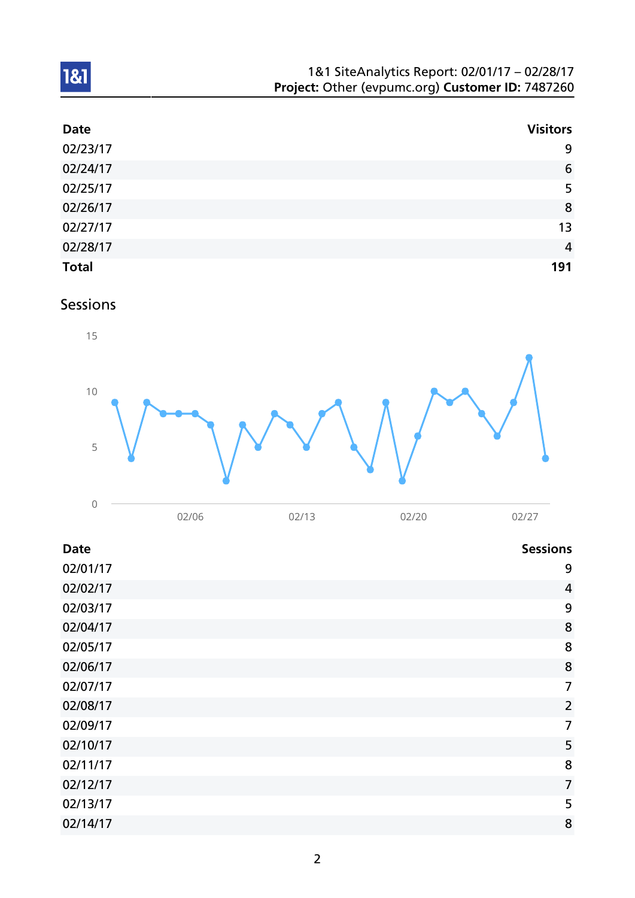| 1&1 SiteAnalytics Report: 02/01/17 - 02/28/17    |  |
|--------------------------------------------------|--|
| Project: Other (evpumc.org) Customer ID: 7487260 |  |

| <b>Date</b>  | <b>Visitors</b> |
|--------------|-----------------|
| 02/23/17     | 9               |
| 02/24/17     | 6               |
| 02/25/17     | 5               |
| 02/26/17     | 8               |
| 02/27/17     | 13              |
| 02/28/17     | $\overline{4}$  |
| <b>Total</b> | 191             |

Sessions



| <b>Date</b> | <b>Sessions</b> |
|-------------|-----------------|
| 02/01/17    | 9               |
| 02/02/17    | $\overline{4}$  |
| 02/03/17    | 9               |
| 02/04/17    | 8               |
| 02/05/17    | 8               |
| 02/06/17    | 8               |
| 02/07/17    | $\overline{7}$  |
| 02/08/17    | $\overline{2}$  |
| 02/09/17    | $\overline{7}$  |
| 02/10/17    | 5               |
| 02/11/17    | 8               |
| 02/12/17    | $\overline{7}$  |
| 02/13/17    | 5               |
| 02/14/17    | 8               |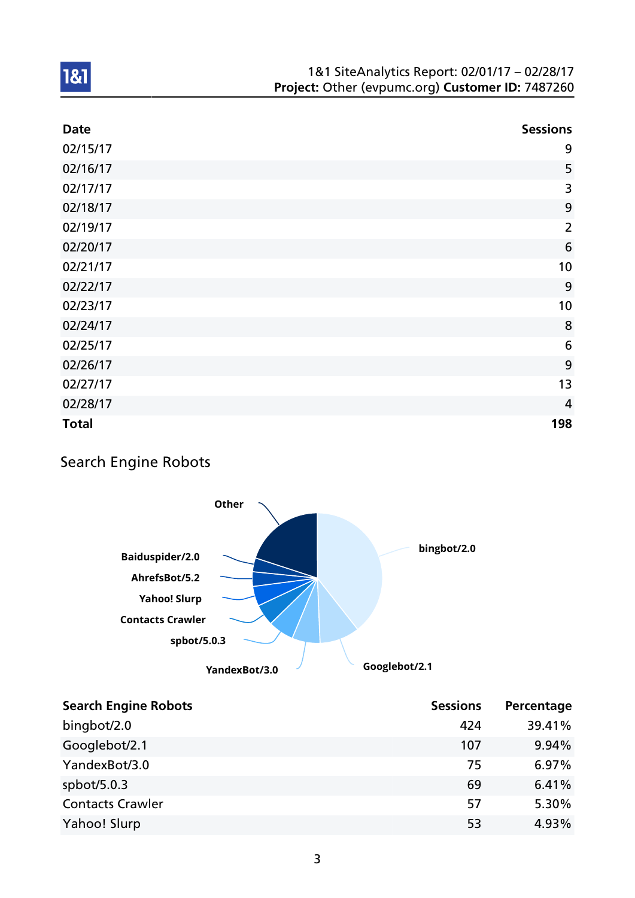| <b>Date</b>  | <b>Sessions</b> |
|--------------|-----------------|
| 02/15/17     | 9               |
| 02/16/17     | 5               |
| 02/17/17     | 3               |
| 02/18/17     | 9               |
| 02/19/17     | $\overline{2}$  |
| 02/20/17     | 6               |
| 02/21/17     | 10              |
| 02/22/17     | 9               |
| 02/23/17     | 10              |
| 02/24/17     | 8               |
| 02/25/17     | 6               |
| 02/26/17     | 9               |
| 02/27/17     | 13              |
| 02/28/17     | $\overline{4}$  |
| <b>Total</b> | 198             |

## Search Engine Robots



| <b>Search Engine Robots</b> | <b>Sessions</b> | Percentage |
|-----------------------------|-----------------|------------|
| bingbot/2.0                 | 424             | 39.41%     |
| Googlebot/2.1               | 107             | 9.94%      |
| YandexBot/3.0               | 75              | 6.97%      |
| spbot/ $5.0.3$              | 69              | 6.41%      |
| <b>Contacts Crawler</b>     | 57              | 5.30%      |
| Yahoo! Slurp                | 53              | 4.93%      |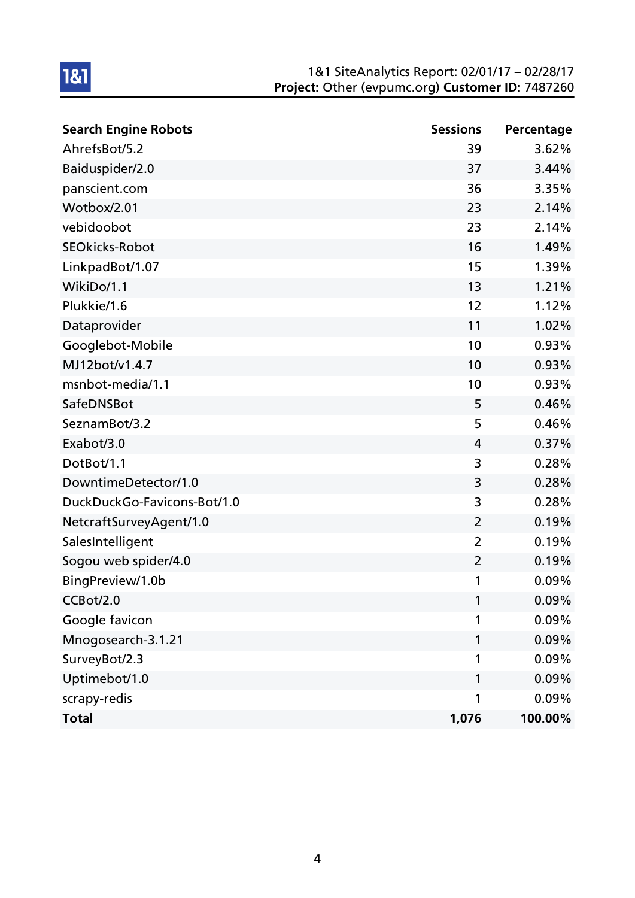| <b>Search Engine Robots</b> | <b>Sessions</b> | Percentage |
|-----------------------------|-----------------|------------|
| AhrefsBot/5.2               | 39              | 3.62%      |
| Baiduspider/2.0             | 37              | 3.44%      |
| panscient.com               | 36              | 3.35%      |
| Wotbox/2.01                 | 23              | 2.14%      |
| vebidoobot                  | 23              | 2.14%      |
| <b>SEOkicks-Robot</b>       | 16              | 1.49%      |
| LinkpadBot/1.07             | 15              | 1.39%      |
| WikiDo/1.1                  | 13              | 1.21%      |
| Plukkie/1.6                 | 12              | 1.12%      |
| Dataprovider                | 11              | 1.02%      |
| Googlebot-Mobile            | 10              | 0.93%      |
| MJ12bot/v1.4.7              | 10              | 0.93%      |
| msnbot-media/1.1            | 10              | 0.93%      |
| SafeDNSBot                  | 5               | 0.46%      |
| SeznamBot/3.2               | 5               | 0.46%      |
| Exabot/3.0                  | 4               | 0.37%      |
| DotBot/1.1                  | 3               | 0.28%      |
| DowntimeDetector/1.0        | 3               | 0.28%      |
| DuckDuckGo-Favicons-Bot/1.0 | 3               | 0.28%      |
| NetcraftSurveyAgent/1.0     | 2               | 0.19%      |
| SalesIntelligent            | $\overline{2}$  | 0.19%      |
| Sogou web spider/4.0        | $\overline{2}$  | 0.19%      |
| BingPreview/1.0b            | 1               | 0.09%      |
| CCBot/2.0                   | 1               | 0.09%      |
| Google favicon              | 1               | 0.09%      |
| Mnogosearch-3.1.21          | 1               | 0.09%      |
| SurveyBot/2.3               | 1               | 0.09%      |
| Uptimebot/1.0               | 1               | 0.09%      |
| scrapy-redis                | 1               | 0.09%      |
| <b>Total</b>                | 1,076           | 100.00%    |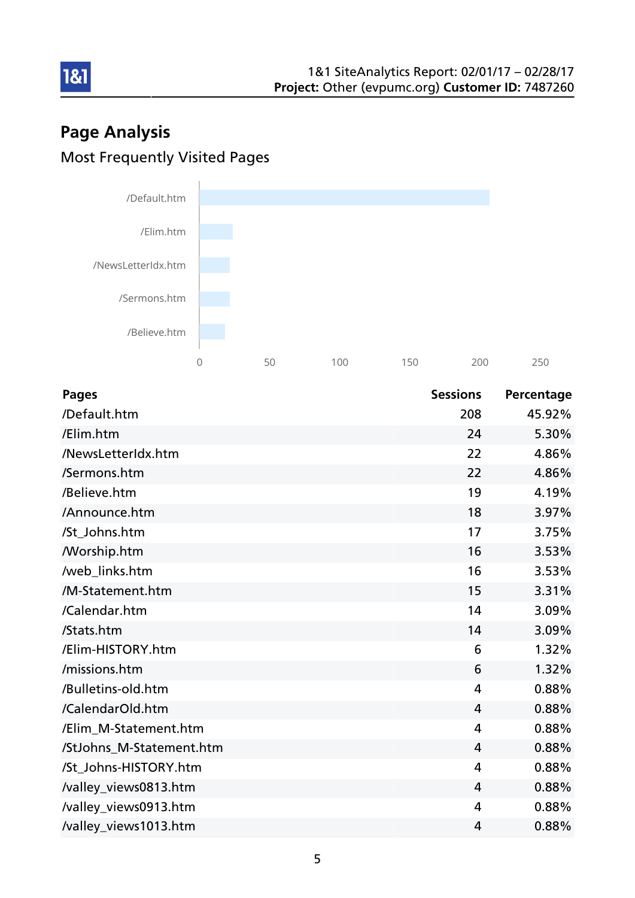# Page Analysis Most Frequently Visited Pages

181



| <b>Pages</b>             | <b>Sessions</b> | Percentage |
|--------------------------|-----------------|------------|
| /Default.htm             | 208             | 45.92%     |
| /Elim.htm                | 24              | 5.30%      |
| /NewsLetterIdx.htm       | 22              | 4.86%      |
| /Sermons.htm             | 22              | 4.86%      |
| /Believe.htm             | 19              | 4.19%      |
| /Announce.htm            | 18              | 3.97%      |
| /St_Johns.htm            | 17              | 3.75%      |
| /Worship.htm             | 16              | 3.53%      |
| /web_links.htm           | 16              | 3.53%      |
| /M-Statement.htm         | 15              | 3.31%      |
| /Calendar.htm            | 14              | 3.09%      |
| /Stats.htm               | 14              | 3.09%      |
| /Elim-HISTORY.htm        | 6               | 1.32%      |
| /missions.htm            | 6               | 1.32%      |
| /Bulletins-old.htm       | 4               | 0.88%      |
| /CalendarOld.htm         | $\overline{4}$  | 0.88%      |
| /Elim_M-Statement.htm    | $\overline{4}$  | 0.88%      |
| /StJohns_M-Statement.htm | 4               | 0.88%      |
| /St_Johns-HISTORY.htm    | $\overline{4}$  | 0.88%      |
| /valley_views0813.htm    | $\overline{4}$  | 0.88%      |
| /valley_views0913.htm    | 4               | 0.88%      |
| /valley_views1013.htm    | 4               | 0.88%      |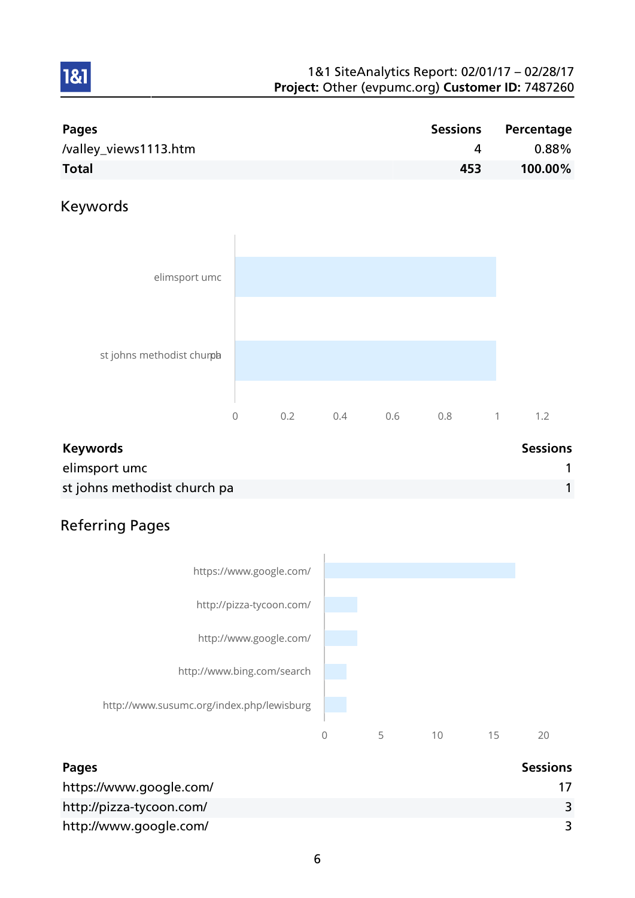| Pages                 | Sessions | Percentage |
|-----------------------|----------|------------|
| /valley_views1113.htm |          | $0.88\%$   |
| <b>Total</b>          | 453      | 100.00%    |

## Keywords

1&1



| <b>Keywords</b>              | <b>Sessions</b> |
|------------------------------|-----------------|
| elimsport umc                |                 |
| st johns methodist church pa |                 |

## Referring Pages



| <b>Pages</b>             | <b>Sessions</b> |
|--------------------------|-----------------|
| https://www.google.com/  |                 |
| http://pizza-tycoon.com/ |                 |
| http://www.google.com/   |                 |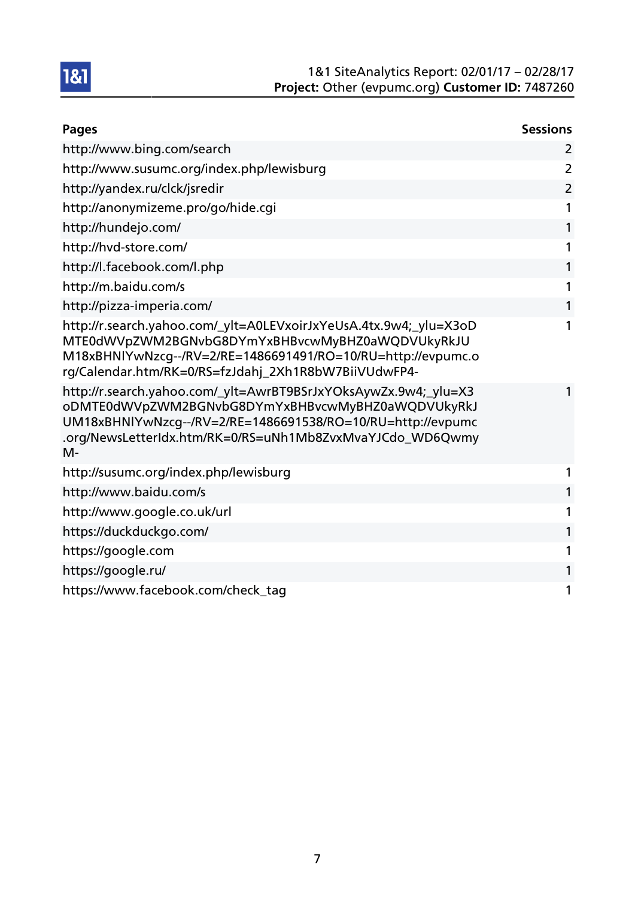| <b>Pages</b>                                                                                                                                                                                                                                              | <b>Sessions</b> |
|-----------------------------------------------------------------------------------------------------------------------------------------------------------------------------------------------------------------------------------------------------------|-----------------|
| http://www.bing.com/search                                                                                                                                                                                                                                | 2               |
| http://www.susumc.org/index.php/lewisburg                                                                                                                                                                                                                 | $\overline{2}$  |
| http://yandex.ru/clck/jsredir                                                                                                                                                                                                                             | $\overline{2}$  |
| http://anonymizeme.pro/go/hide.cgi                                                                                                                                                                                                                        | 1               |
| http://hundejo.com/                                                                                                                                                                                                                                       |                 |
| http://hvd-store.com/                                                                                                                                                                                                                                     |                 |
| http://l.facebook.com/l.php                                                                                                                                                                                                                               |                 |
| http://m.baidu.com/s                                                                                                                                                                                                                                      |                 |
| http://pizza-imperia.com/                                                                                                                                                                                                                                 | 1               |
| http://r.search.yahoo.com/_ylt=A0LEVxoirJxYeUsA.4tx.9w4;_ylu=X3oD<br>MTE0dWVpZWM2BGNvbG8DYmYxBHBvcwMyBHZ0aWQDVUkyRkJU<br>M18xBHNlYwNzcg--/RV=2/RE=1486691491/RO=10/RU=http://evpumc.o<br>rg/Calendar.htm/RK=0/RS=fzJdahj_2Xh1R8bW7BiiVUdwFP4-             | 1               |
| http://r.search.yahoo.com/_ylt=AwrBT9BSrJxYOksAywZx.9w4;_ylu=X3<br>oDMTE0dWVpZWM2BGNvbG8DYmYxBHBvcwMyBHZ0aWQDVUkyRkJ<br>UM18xBHNlYwNzcg--/RV=2/RE=1486691538/RO=10/RU=http://evpumc<br>.org/NewsLetterIdx.htm/RK=0/RS=uNh1Mb8ZvxMvaYJCdo_WD6Qwmy<br>$M -$ |                 |
| http://susumc.org/index.php/lewisburg                                                                                                                                                                                                                     |                 |
| http://www.baidu.com/s                                                                                                                                                                                                                                    |                 |
| http://www.google.co.uk/url                                                                                                                                                                                                                               |                 |
| https://duckduckgo.com/                                                                                                                                                                                                                                   |                 |
| https://google.com                                                                                                                                                                                                                                        | 1               |
| https://google.ru/                                                                                                                                                                                                                                        |                 |
| https://www.facebook.com/check_tag                                                                                                                                                                                                                        | 1               |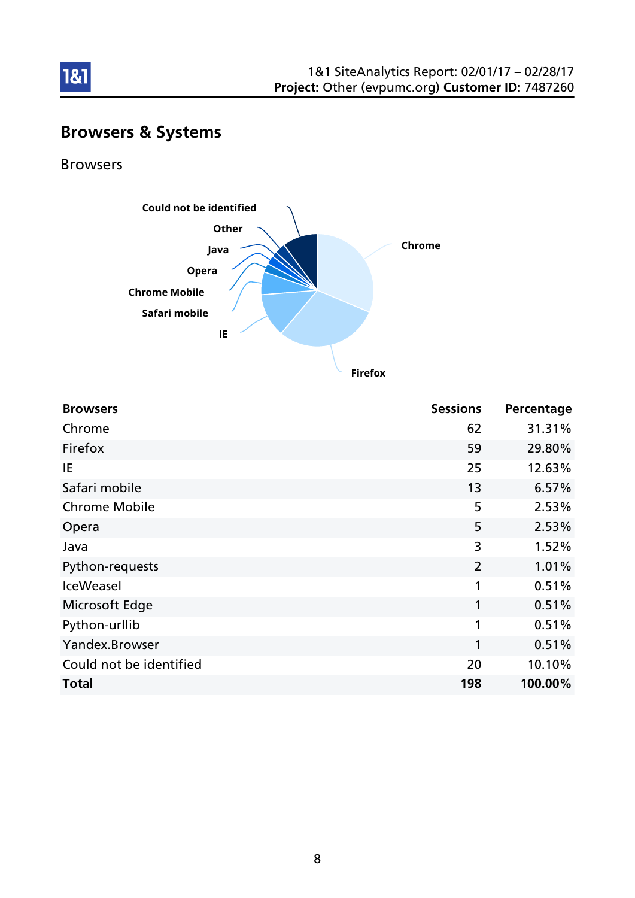

# Browsers & Systems

### Browsers

181



**Firefox**

| <b>Browsers</b>         | <b>Sessions</b> | Percentage |
|-------------------------|-----------------|------------|
| Chrome                  | 62              | 31.31%     |
| Firefox                 | 59              | 29.80%     |
| IE                      | 25              | 12.63%     |
| Safari mobile           | 13              | 6.57%      |
| <b>Chrome Mobile</b>    | 5               | 2.53%      |
| Opera                   | 5               | 2.53%      |
| Java                    | 3               | 1.52%      |
| Python-requests         | $\overline{2}$  | 1.01%      |
| <b>IceWeasel</b>        | 1               | 0.51%      |
| Microsoft Edge          | 1               | 0.51%      |
| Python-urllib           | 1               | 0.51%      |
| Yandex.Browser          | 1               | 0.51%      |
| Could not be identified | 20              | 10.10%     |
| <b>Total</b>            | 198             | 100.00%    |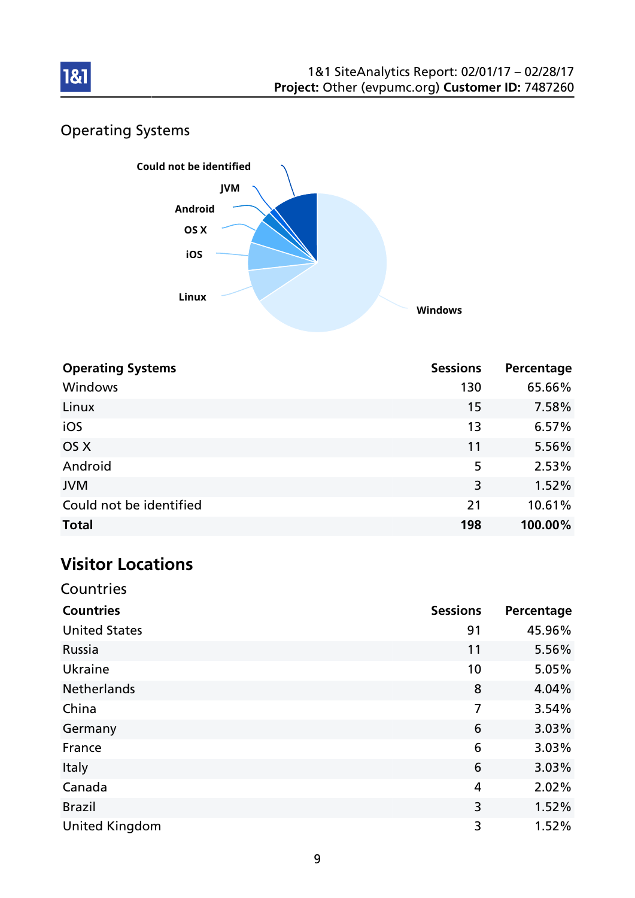

## Operating Systems



| <b>Operating Systems</b> | <b>Sessions</b> | Percentage |
|--------------------------|-----------------|------------|
| Windows                  | 130             | 65.66%     |
| Linux                    | 15              | 7.58%      |
| iOS                      | 13              | 6.57%      |
| OS X                     | 11              | 5.56%      |
| Android                  | 5               | 2.53%      |
| <b>JVM</b>               | 3               | 1.52%      |
| Could not be identified  | 21              | 10.61%     |
| <b>Total</b>             | 198             | 100.00%    |

# Visitor Locations

**Countries** 

| <b>Countries</b>      | <b>Sessions</b> | Percentage |
|-----------------------|-----------------|------------|
| <b>United States</b>  | 91              | 45.96%     |
| Russia                | 11              | 5.56%      |
| Ukraine               | 10              | 5.05%      |
| <b>Netherlands</b>    | 8               | 4.04%      |
| China                 | 7               | 3.54%      |
| Germany               | 6               | 3.03%      |
| France                | 6               | 3.03%      |
| Italy                 | 6               | 3.03%      |
| Canada                | 4               | 2.02%      |
| <b>Brazil</b>         | 3               | 1.52%      |
| <b>United Kingdom</b> | 3               | 1.52%      |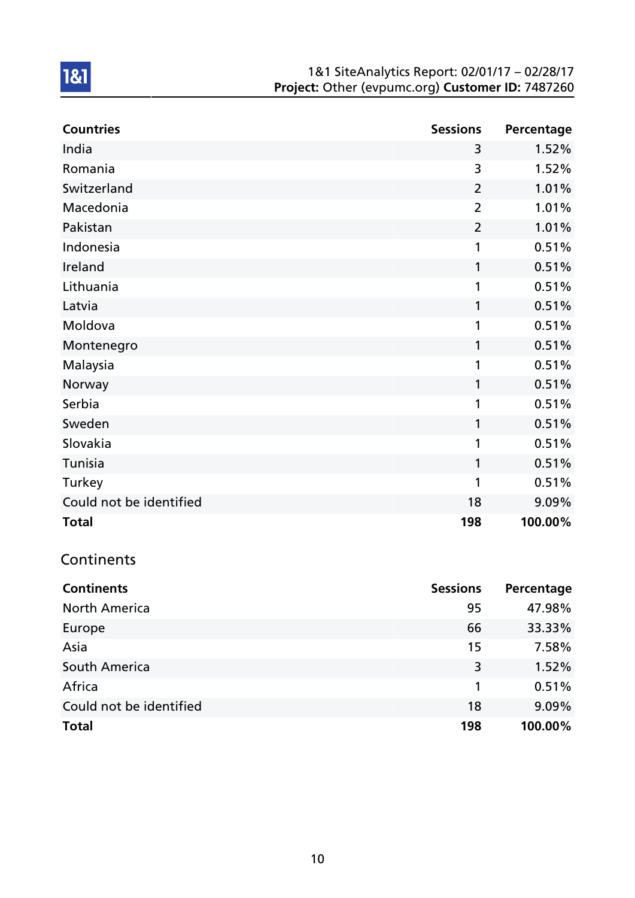| <b>Countries</b>        | <b>Sessions</b> | Percentage |
|-------------------------|-----------------|------------|
| India                   | 3               | 1.52%      |
| Romania                 | 3               | 1.52%      |
| Switzerland             | $\overline{2}$  | 1.01%      |
| Macedonia               | $\overline{2}$  | 1.01%      |
| Pakistan                | $\overline{2}$  | 1.01%      |
| Indonesia               | 1               | 0.51%      |
| Ireland                 | 1               | 0.51%      |
| Lithuania               | 1               | 0.51%      |
| Latvia                  | 1               | 0.51%      |
| Moldova                 | 1               | 0.51%      |
| Montenegro              | 1               | 0.51%      |
| Malaysia                | 1               | 0.51%      |
| Norway                  | 1               | 0.51%      |
| Serbia                  | 1               | 0.51%      |
| Sweden                  | 1               | 0.51%      |
| Slovakia                | 1               | 0.51%      |
| Tunisia                 | 1               | 0.51%      |
| Turkey                  | 1               | 0.51%      |
| Could not be identified | 18              | 9.09%      |
| <b>Total</b>            | 198             | 100.00%    |

## Continents

| <b>Continents</b>       | <b>Sessions</b> | Percentage |
|-------------------------|-----------------|------------|
| <b>North America</b>    | 95              | 47.98%     |
| Europe                  | 66              | 33.33%     |
| Asia                    | 15              | 7.58%      |
| South America           | 3               | 1.52%      |
| Africa                  | 1               | 0.51%      |
| Could not be identified | 18              | 9.09%      |
| <b>Total</b>            | 198             | 100.00%    |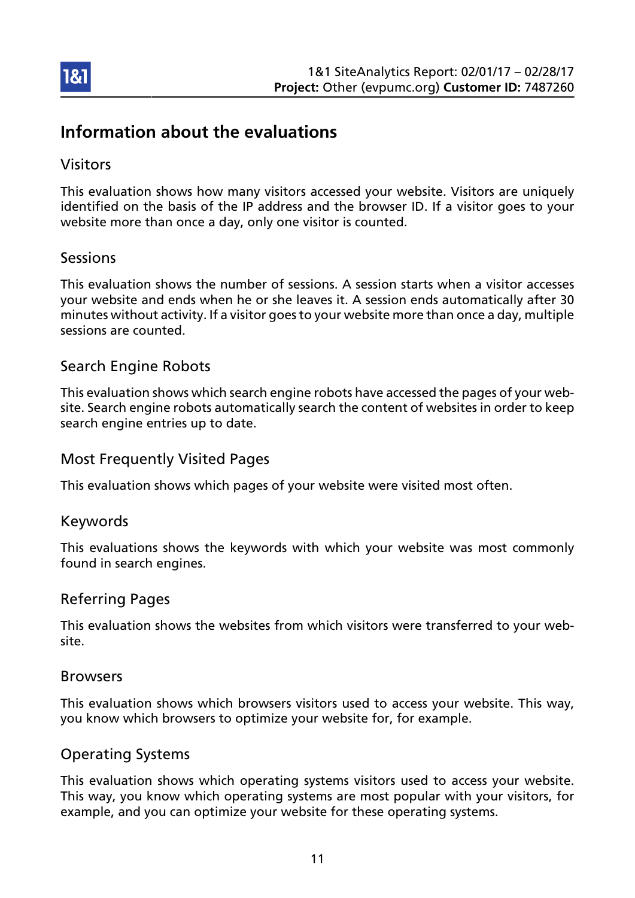

## Information about the evaluations

### Visitors

This evaluation shows how many visitors accessed your website. Visitors are uniquely identified on the basis of the IP address and the browser ID. If a visitor goes to your website more than once a day, only one visitor is counted.

### Sessions

This evaluation shows the number of sessions. A session starts when a visitor accesses your website and ends when he or she leaves it. A session ends automatically after 30 minutes without activity. If a visitor goes to your website more than once a day, multiple sessions are counted.

### Search Engine Robots

This evaluation shows which search engine robots have accessed the pages of your website. Search engine robots automatically search the content of websites in order to keep search engine entries up to date.

### Most Frequently Visited Pages

This evaluation shows which pages of your website were visited most often.

### Keywords

This evaluations shows the keywords with which your website was most commonly found in search engines.

### Referring Pages

This evaluation shows the websites from which visitors were transferred to your website.

### Browsers

This evaluation shows which browsers visitors used to access your website. This way, you know which browsers to optimize your website for, for example.

### Operating Systems

This evaluation shows which operating systems visitors used to access your website. This way, you know which operating systems are most popular with your visitors, for example, and you can optimize your website for these operating systems.